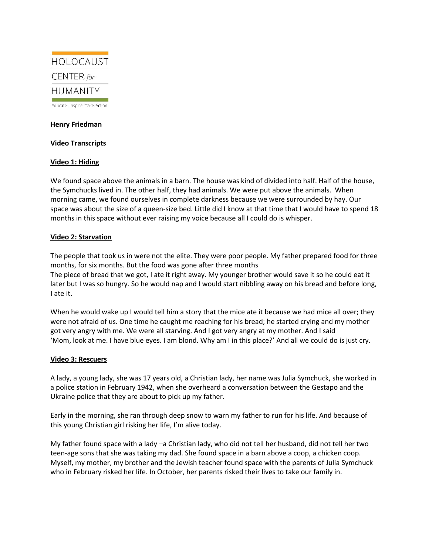

Educate. Inspire. Take Action.

### **Henry Friedman**

## **Video Transcripts**

# **Video 1: Hiding**

We found space above the animals in a barn. The house was kind of divided into half. Half of the house, the Symchucks lived in. The other half, they had animals. We were put above the animals. When morning came, we found ourselves in complete darkness because we were surrounded by hay. Our space was about the size of a queen-size bed. Little did I know at that time that I would have to spend 18 months in this space without ever raising my voice because all I could do is whisper.

## **Video 2: Starvation**

The people that took us in were not the elite. They were poor people. My father prepared food for three months, for six months. But the food was gone after three months The piece of bread that we got, I ate it right away. My younger brother would save it so he could eat it later but I was so hungry. So he would nap and I would start nibbling away on his bread and before long, I ate it.

When he would wake up I would tell him a story that the mice ate it because we had mice all over; they were not afraid of us. One time he caught me reaching for his bread; he started crying and my mother got very angry with me. We were all starving. And I got very angry at my mother. And I said 'Mom, look at me. I have blue eyes. I am blond. Why am I in this place?' And all we could do is just cry.

# **Video 3: Rescuers**

A lady, a young lady, she was 17 years old, a Christian lady, her name was Julia Symchuck, she worked in a police station in February 1942, when she overheard a conversation between the Gestapo and the Ukraine police that they are about to pick up my father.

Early in the morning, she ran through deep snow to warn my father to run for his life. And because of this young Christian girl risking her life, I'm alive today.

My father found space with a lady –a Christian lady, who did not tell her husband, did not tell her two teen-age sons that she was taking my dad. She found space in a barn above a coop, a chicken coop. Myself, my mother, my brother and the Jewish teacher found space with the parents of Julia Symchuck who in February risked her life. In October, her parents risked their lives to take our family in.